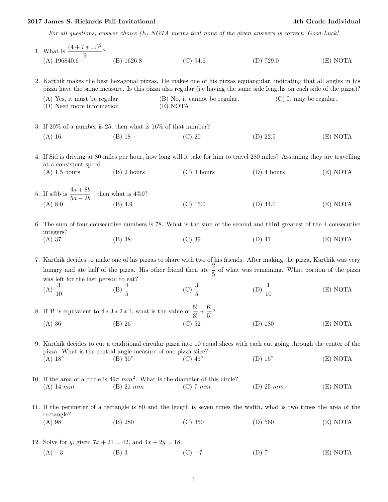## 2017 James S. Rickards Fall Invitational 4th Grade Individual

For all questions, answer choice (E) NOTA means that none of the given answers is correct. Good Luck!

|  | 1. What is $\frac{(4+7*11)^2}{9}$ ?                                                                                                                                                                                                                                                                                                                                                             |                     |                                                                                                             |                          |          |  |  |  |  |
|--|-------------------------------------------------------------------------------------------------------------------------------------------------------------------------------------------------------------------------------------------------------------------------------------------------------------------------------------------------------------------------------------------------|---------------------|-------------------------------------------------------------------------------------------------------------|--------------------------|----------|--|--|--|--|
|  | $(A)$ 196840.6                                                                                                                                                                                                                                                                                                                                                                                  | $(B)$ 1626.8        | $(C)$ 94.6                                                                                                  | $(D)$ 729.0              | (E) NOTA |  |  |  |  |
|  | 2. Karthik makes the best hexagonal pizzas. He makes one of his pizzas equiangular, indicating that all angles in his<br>pizza have the same measure. Is this pizza also regular (i.e having the same side lengths on each side of the pizza)?                                                                                                                                                  |                     |                                                                                                             |                          |          |  |  |  |  |
|  | $(A)$ Yes, it must be regular.<br>(D) Need more information                                                                                                                                                                                                                                                                                                                                     |                     | (B) No, it cannot be regular.<br>(E) NOTA                                                                   | $(C)$ It may be regular. |          |  |  |  |  |
|  | 3. If 20% of a number is 25, then what is $16\%$ of that number?                                                                                                                                                                                                                                                                                                                                |                     |                                                                                                             |                          |          |  |  |  |  |
|  | $(A)$ 16                                                                                                                                                                                                                                                                                                                                                                                        | $(B)$ 18            | $(C)$ 20                                                                                                    | $(D)$ 22.5               | (E) NOTA |  |  |  |  |
|  | 4. If Sid is driving at 80 miles per hour, how long will it take for him to travel 280 miles? Assuming they are travelling<br>at a consistent speed.                                                                                                                                                                                                                                            |                     |                                                                                                             |                          |          |  |  |  |  |
|  | $(A)$ 1.5 hours                                                                                                                                                                                                                                                                                                                                                                                 | $(B)$ 2 hours       | $(C)$ 3 hours                                                                                               | $(D)$ 4 hours            | (E) NOTA |  |  |  |  |
|  | 5. If a@b is $\frac{4a + 8b}{5a - 2b}$ , then what is 4@9?<br>(A) 8.0 (B) 4.9                                                                                                                                                                                                                                                                                                                   |                     |                                                                                                             |                          |          |  |  |  |  |
|  |                                                                                                                                                                                                                                                                                                                                                                                                 |                     | $(C)$ 16.0                                                                                                  | $(D)$ 44.0               | (E) NOTA |  |  |  |  |
|  | 6. The sum of four consecutive numbers is 78. What is the sum of the second and third greatest of the 4 consecutive<br>integers?                                                                                                                                                                                                                                                                |                     |                                                                                                             |                          |          |  |  |  |  |
|  | $(A)$ 37                                                                                                                                                                                                                                                                                                                                                                                        | $(B)$ 38            | $(C)$ 39                                                                                                    | $(D)$ 41                 | (E) NOTA |  |  |  |  |
|  | 7. Karthik decides to make one of his pizzas to share with two of his friends. After making the pizza, Karthik was very<br>hungry and ate half of the pizza. His other friend then ate $\frac{2}{5}$ of what was remaining. What portion of the pizza<br>was left for the last person to eat?<br>(A) $\frac{3}{10}$<br>(B) $\frac{4}{5}$<br>(C) $\frac{3}{5}$<br>(D) $\frac{1}{10}$<br>(E) NOTA |                     |                                                                                                             |                          |          |  |  |  |  |
|  |                                                                                                                                                                                                                                                                                                                                                                                                 |                     |                                                                                                             |                          |          |  |  |  |  |
|  | 8. If 4! is equivalent to $4 * 3 * 2 * 1$ , what is the value of $\frac{5!}{3!} + \frac{6!}{5!}$ ?                                                                                                                                                                                                                                                                                              |                     |                                                                                                             |                          |          |  |  |  |  |
|  | $(A)$ 36                                                                                                                                                                                                                                                                                                                                                                                        | (B) 26 (C) 52       |                                                                                                             | $(D)$ 180                | (E) NOTA |  |  |  |  |
|  | 9. Karthik decides to cut a traditional circular pizza into 10 equal slices with each cut going through the center of the<br>pizza. What is the central angle measure of one pizza slice?                                                                                                                                                                                                       |                     |                                                                                                             |                          |          |  |  |  |  |
|  | $(A) 18^\circ$                                                                                                                                                                                                                                                                                                                                                                                  | $(B)$ 30 $^{\circ}$ | $(C)$ 45 $\circ$                                                                                            | $(D) 15^\circ$           | (E) NOTA |  |  |  |  |
|  | $(A)$ 14 mm                                                                                                                                                                                                                                                                                                                                                                                     | $(B)$ 21 mm         | 10. If the area of a circle is $49\pi$ mm <sup>2</sup> . What is the diameter of this circle?<br>$(C)$ 7 mm | $(D)$ 25 mm              | (E) NOTA |  |  |  |  |
|  | 11. If the perimeter of a rectangle is 80 and the length is seven times the width, what is two times the area of the                                                                                                                                                                                                                                                                            |                     |                                                                                                             |                          |          |  |  |  |  |
|  | rectangle?<br>$(A)$ 98                                                                                                                                                                                                                                                                                                                                                                          | (B) 280             | $(C)$ 350                                                                                                   | $(D)$ 560                | (E) NOTA |  |  |  |  |
|  | 12. Solve for <i>y</i> , given $7x + 21 = 42$ , and $4x + 2y = 18$ .                                                                                                                                                                                                                                                                                                                            |                     |                                                                                                             |                          |          |  |  |  |  |
|  | $(A) -3$                                                                                                                                                                                                                                                                                                                                                                                        | $(B)$ 3             | $(C) -7$                                                                                                    | $(D)$ 7                  | (E) NOTA |  |  |  |  |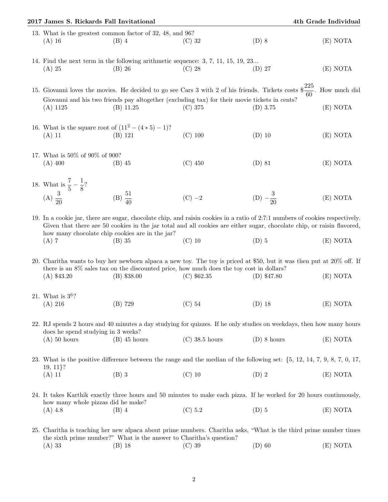| 4th Grade Individual<br>2017 James S. Rickards Fall Invitational                                                                                          |                                                                                                                                                                                          |                                                                      |                                                                                                                                                                                                                                                                     |                     |          |  |  |  |
|-----------------------------------------------------------------------------------------------------------------------------------------------------------|------------------------------------------------------------------------------------------------------------------------------------------------------------------------------------------|----------------------------------------------------------------------|---------------------------------------------------------------------------------------------------------------------------------------------------------------------------------------------------------------------------------------------------------------------|---------------------|----------|--|--|--|
|                                                                                                                                                           | $(A)$ 16                                                                                                                                                                                 | 13. What is the greatest common factor of 32, 48, and 96?<br>$(B)$ 4 | $(C)$ 32                                                                                                                                                                                                                                                            | $(D)$ 8             | (E) NOTA |  |  |  |
|                                                                                                                                                           | $(A)$ 25                                                                                                                                                                                 | $(B)$ 26                                                             | 14. Find the next term in the following arithmetic sequence: 3, 7, 11, 15, 19, 23<br>$(C)$ 28                                                                                                                                                                       | $(D)$ 27            | (E) NOTA |  |  |  |
|                                                                                                                                                           |                                                                                                                                                                                          |                                                                      | 15. Giovanni loves the movies. He decided to go see Cars 3 with 2 of his friends. Tickets costs $\frac{225}{60}$ . How much did                                                                                                                                     |                     |          |  |  |  |
|                                                                                                                                                           | $(A)$ 1125                                                                                                                                                                               | $(B)$ 11.25                                                          | Giovanni and his two friends pay altogether (excluding tax) for their movie tickets in cents?<br>$(C)$ 375                                                                                                                                                          | $(D)$ 3.75          | (E) NOTA |  |  |  |
|                                                                                                                                                           | 16. What is the square root of $(11^2 - (4 * 5) - 1)$ ?<br>$(A)$ 11                                                                                                                      | (B) 121                                                              | $(C)$ 100                                                                                                                                                                                                                                                           | $(D)$ 10            | (E) NOTA |  |  |  |
|                                                                                                                                                           | 17. What is 50% of 90% of 900?<br>$(A)$ 400                                                                                                                                              | $(B)$ 45                                                             | $(C)$ 450                                                                                                                                                                                                                                                           | $(D)$ 81            | (E) NOTA |  |  |  |
|                                                                                                                                                           | 18. What is $\frac{7}{5} - \frac{1}{8}$ ?<br>(A) $\frac{3}{20}$                                                                                                                          | (B) $\frac{51}{40}$                                                  | $(C) -2$                                                                                                                                                                                                                                                            | (D) $-\frac{3}{20}$ | (E) NOTA |  |  |  |
|                                                                                                                                                           | $(A)$ 7                                                                                                                                                                                  | how many chocolate chip cookies are in the jar?<br>$(B)$ 35          | 19. In a cookie jar, there are sugar, chocolate chip, and raisin cookies in a ratio of 2:7:1 numbers of cookies respectively.<br>Given that there are 50 cookies in the jar total and all cookies are either sugar, chocolate chip, or raisin flavored,<br>$(C)$ 10 | $(D)$ 5             | (E) NOTA |  |  |  |
|                                                                                                                                                           | $(A)$ \$43.20                                                                                                                                                                            | $(B)$ \$38.00                                                        | 20. Charitha wants to buy her newborn alpaca a new toy. The toy is priced at \$50, but it was then put at 20% off. If<br>there is an 8% sales tax on the discounted price, how much does the toy cost in dollars?<br>$(C)$ \$62.35                                  | $(D)$ \$47.80       | (E) NOTA |  |  |  |
|                                                                                                                                                           | 21. What is $3^6$ ?<br>(A) 216                                                                                                                                                           | (B) 729                                                              | $(C)$ 54                                                                                                                                                                                                                                                            | $(D)$ 18            | (E) NOTA |  |  |  |
|                                                                                                                                                           | does he spend studying in 3 weeks?<br>$(A)$ 50 hours                                                                                                                                     | $(B)$ 45 hours                                                       | 22. RJ spends 2 hours and 40 minutes a day studying for quizzes. If he only studies on weekdays, then how many hours<br>$(C)$ 38.5 hours                                                                                                                            | $(D)$ 8 hours       | (E) NOTA |  |  |  |
|                                                                                                                                                           |                                                                                                                                                                                          |                                                                      |                                                                                                                                                                                                                                                                     |                     |          |  |  |  |
|                                                                                                                                                           | $19, 11$ ?                                                                                                                                                                               |                                                                      |                                                                                                                                                                                                                                                                     |                     |          |  |  |  |
|                                                                                                                                                           | $(A)$ 11                                                                                                                                                                                 | $(B)$ 3                                                              | $(C)$ 10                                                                                                                                                                                                                                                            | $(D)$ 2             | (E) NOTA |  |  |  |
| 24. It takes Karthik exactly three hours and 50 minutes to make each pizza. If he worked for 20 hours continuously,<br>how many whole pizzas did he make? |                                                                                                                                                                                          |                                                                      |                                                                                                                                                                                                                                                                     |                     |          |  |  |  |
|                                                                                                                                                           | $(A)$ 4.8                                                                                                                                                                                | $(B)$ 4                                                              | (C) 5.2                                                                                                                                                                                                                                                             | $(D)$ 5             | (E) NOTA |  |  |  |
|                                                                                                                                                           | 25. Charitha is teaching her new alpaca about prime numbers. Charitha asks, "What is the third prime number times<br>the sixth prime number?" What is the answer to Charitha's question? |                                                                      |                                                                                                                                                                                                                                                                     |                     |          |  |  |  |
|                                                                                                                                                           | $(A)$ 33                                                                                                                                                                                 | $(B)$ 18                                                             | $(C)$ 39                                                                                                                                                                                                                                                            | $(D)$ 60            | (E) NOTA |  |  |  |